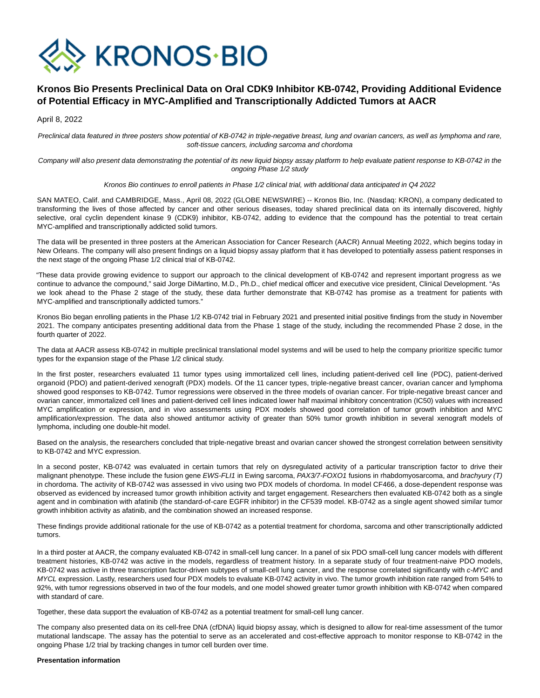

# **Kronos Bio Presents Preclinical Data on Oral CDK9 Inhibitor KB-0742, Providing Additional Evidence of Potential Efficacy in MYC-Amplified and Transcriptionally Addicted Tumors at AACR**

April 8, 2022

Preclinical data featured in three posters show potential of KB-0742 in triple-negative breast, lung and ovarian cancers, as well as lymphoma and rare, soft-tissue cancers, including sarcoma and chordoma

Company will also present data demonstrating the potential of its new liquid biopsy assay platform to help evaluate patient response to KB-0742 in the ongoing Phase 1/2 study

# Kronos Bio continues to enroll patients in Phase 1/2 clinical trial, with additional data anticipated in Q4 2022

SAN MATEO, Calif. and CAMBRIDGE, Mass., April 08, 2022 (GLOBE NEWSWIRE) -- Kronos Bio, Inc. (Nasdaq: KRON), a company dedicated to transforming the lives of those affected by cancer and other serious diseases, today shared preclinical data on its internally discovered, highly selective, oral cyclin dependent kinase 9 (CDK9) inhibitor, KB-0742, adding to evidence that the compound has the potential to treat certain MYC-amplified and transcriptionally addicted solid tumors.

The data will be presented in three posters at the American Association for Cancer Research (AACR) Annual Meeting 2022, which begins today in New Orleans. The company will also present findings on a liquid biopsy assay platform that it has developed to potentially assess patient responses in the next stage of the ongoing Phase 1/2 clinical trial of KB-0742.

"These data provide growing evidence to support our approach to the clinical development of KB-0742 and represent important progress as we continue to advance the compound," said Jorge DiMartino, M.D., Ph.D., chief medical officer and executive vice president, Clinical Development. "As we look ahead to the Phase 2 stage of the study, these data further demonstrate that KB-0742 has promise as a treatment for patients with MYC-amplified and transcriptionally addicted tumors."

Kronos Bio began enrolling patients in the Phase 1/2 KB-0742 trial in February 2021 and presented initial positive findings from the study in November 2021. The company anticipates presenting additional data from the Phase 1 stage of the study, including the recommended Phase 2 dose, in the fourth quarter of 2022.

The data at AACR assess KB-0742 in multiple preclinical translational model systems and will be used to help the company prioritize specific tumor types for the expansion stage of the Phase 1/2 clinical study.

In the first poster, researchers evaluated 11 tumor types using immortalized cell lines, including patient-derived cell line (PDC), patient-derived organoid (PDO) and patient-derived xenograft (PDX) models. Of the 11 cancer types, triple-negative breast cancer, ovarian cancer and lymphoma showed good responses to KB-0742. Tumor regressions were observed in the three models of ovarian cancer. For triple-negative breast cancer and ovarian cancer, immortalized cell lines and patient-derived cell lines indicated lower half maximal inhibitory concentration (IC50) values with increased MYC amplification or expression, and in vivo assessments using PDX models showed good correlation of tumor growth inhibition and MYC amplification/expression. The data also showed antitumor activity of greater than 50% tumor growth inhibition in several xenograft models of lymphoma, including one double-hit model.

Based on the analysis, the researchers concluded that triple-negative breast and ovarian cancer showed the strongest correlation between sensitivity to KB-0742 and MYC expression.

In a second poster, KB-0742 was evaluated in certain tumors that rely on dysregulated activity of a particular transcription factor to drive their malignant phenotype. These include the fusion gene EWS-FLI1 in Ewing sarcoma, PAX3/7-FOXO1 fusions in rhabdomyosarcoma, and brachyury (T) in chordoma. The activity of KB-0742 was assessed in vivo using two PDX models of chordoma. In model CF466, a dose-dependent response was observed as evidenced by increased tumor growth inhibition activity and target engagement. Researchers then evaluated KB-0742 both as a single agent and in combination with afatinib (the standard-of-care EGFR inhibitor) in the CF539 model. KB-0742 as a single agent showed similar tumor growth inhibition activity as afatinib, and the combination showed an increased response.

These findings provide additional rationale for the use of KB-0742 as a potential treatment for chordoma, sarcoma and other transcriptionally addicted tumors.

In a third poster at AACR, the company evaluated KB-0742 in small-cell lung cancer. In a panel of six PDO small-cell lung cancer models with different treatment histories, KB-0742 was active in the models, regardless of treatment history. In a separate study of four treatment-naive PDO models, KB-0742 was active in three transcription factor-driven subtypes of small-cell lung cancer, and the response correlated significantly with c-MYC and MYCL expression. Lastly, researchers used four PDX models to evaluate KB-0742 activity in vivo. The tumor growth inhibition rate ranged from 54% to 92%, with tumor regressions observed in two of the four models, and one model showed greater tumor growth inhibition with KB-0742 when compared with standard of care.

Together, these data support the evaluation of KB-0742 as a potential treatment for small-cell lung cancer.

The company also presented data on its cell-free DNA (cfDNA) liquid biopsy assay, which is designed to allow for real-time assessment of the tumor mutational landscape. The assay has the potential to serve as an accelerated and cost-effective approach to monitor response to KB-0742 in the ongoing Phase 1/2 trial by tracking changes in tumor cell burden over time.

### **Presentation information**